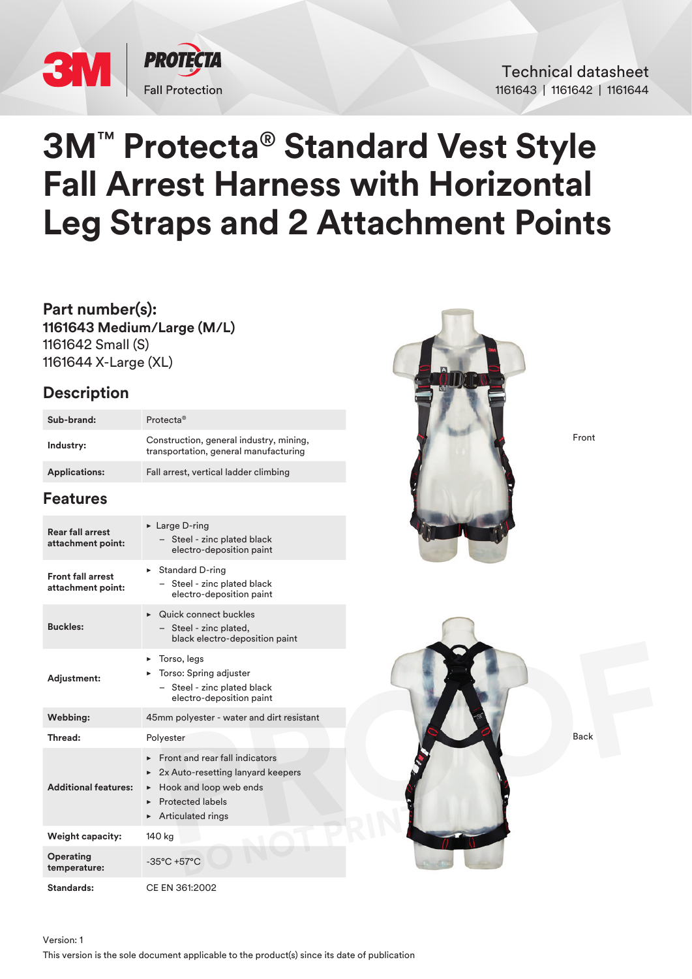

Technical datasheet 1161643 | 1161642 | 1161644

# **3M**™ **Protecta**® **Standard Vest Style Fall Arrest Harness with Horizontal Leg Straps and 2 Attachment Points**

**Part number(s): 1161643 Medium/Large (M/L)** 1161642 Small (S) 1161644 X-Large (XL)

## **Description**

| Sub-brand:           | Protecta <sup>®</sup>                                                            |
|----------------------|----------------------------------------------------------------------------------|
| Industry:            | Construction, general industry, mining,<br>transportation, general manufacturing |
| <b>Applications:</b> | Fall arrest, vertical ladder climbing                                            |

## **Features**

| <b>Rear fall arrest</b><br>attachment point:  | ► Large D-ring<br>Steel - zinc plated black<br>electro-deposition paint                                                                                                  |  |
|-----------------------------------------------|--------------------------------------------------------------------------------------------------------------------------------------------------------------------------|--|
| <b>Front fall arrest</b><br>attachment point: | $\triangleright$ Standard D-ring<br>Steel - zinc plated black<br>electro-deposition paint                                                                                |  |
| <b>Buckles:</b>                               | $\triangleright$ Quick connect buckles<br>- Steel - zinc plated,<br>black electro-deposition paint                                                                       |  |
| Adjustment:                                   | Torso, legs<br>►<br>$\triangleright$ Torso: Spring adjuster<br>- Steel - zinc plated black<br>electro-deposition paint                                                   |  |
| Webbing:                                      | 45mm polyester - water and dirt resistant                                                                                                                                |  |
| Thread:                                       | Polyester                                                                                                                                                                |  |
| <b>Additional features:</b>                   | <b>Eront and rear fall indicators</b><br>2x Auto-resetting lanyard keepers<br>▶<br>Hook and loop web ends<br>▶<br><b>Protected labels</b><br>ь<br>Articulated rings<br>► |  |
| <b>Weight capacity:</b>                       | 140 kg                                                                                                                                                                   |  |
| Operating<br>temperature:                     | $-35^{\circ}$ C +57 $^{\circ}$ C                                                                                                                                         |  |

**Standards:** CE EN 361:2002



Front